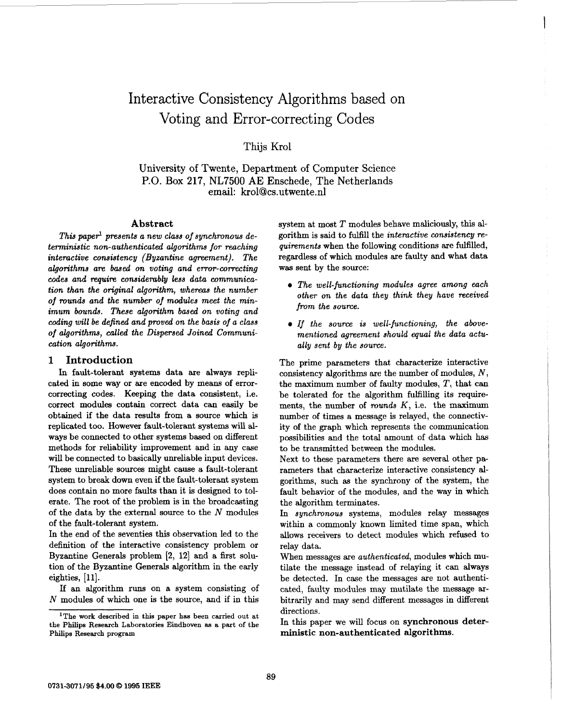# Interactive Consistency Algorithms based on Voting and Error-correcting Codes

## Thijs Krol

University of Twente, Department of Computer Science P.O. **Box 217,** NL7500 **AE** Enschede, The Netherlands email: krol@cs. utwente. nl

#### **Abstract**

*This paper' presents a new class of synchronow deterministic non-authenticated algorithms for reaching interactive consistency (Byzantine agreement). The algorithms are based on voting and enor-correcting codes and require considerably less data communication than the original algorithm, whereas the number of rounds and the number of modules meet the minimum bounds. These algorithm based on voting and coding will be defined and proved on the basis of a class of algorithms, called the Dispersed Joined Communication algorithms.* 

#### **1 Introduction**

In fault-tolerant systems data are always replicated in some way **or** are encoded by means of errorcorrecting codes. Keeping the data consistent, i.e. correct modules contain correct data can easily be obtained if the data results from a source which is replicated too. However fault-tolerant systems will always be connected to other systems based on different methods for reliability improvement and in any case will be connected to basically unreliable input devices. These unreliable sources might cause a fault-tolerant system to break down even if the fault-tolerant system does contain no more faults than it is designed to tolerate. The root of the problem is in the broadcasting of the data by the external source to the *N* modules of the fault-tolerant system.

In the end of the seventies this observation led to the definition of the interactive consistency problem or Byzantine Generals problem [2, 12] and a first solution of the Byzantine Generals algorithm in the early eighties, [ll].

If an algorithm **runs** on a system consisting of *N* modules of which one is the source, and if in this

system at most *T* modules behave maliciously, this algorithm is said to fulfill the *interactive consistency requirements* when the following conditions are fulfilled, regardless of which modules are faulty and what data **was** sent by the source:

- *The well-functioning modules agree among each other on the data they think they have received from the source.*
- *If the source is well-functioning, the abovementioned agreement should equal the data actually sent by the source.*

The prime parameters that characterize interactive consistency algorithms are the number of modules, *N,*  the maximum number of faulty modules, *T,* that can be tolerated for the algorithm fulfilling its requirements, the number of *rounds K,* i.e. the maximum number of times a message is relayed, the connectivity **of** the graph which represents the communication possibilities and the total amount of data which has to be transmitted between the modules.

Next to these parameters there are several other parameters that characterize interactive consistency algorithm, such **as** the synchrony of the system, the fault behavior of the modules, and the way in which the algorithm terminates.

In *synchronous* systems, modules relay messages within a commonly known limited time span, which allows receivers to detect modules which refused to relay data.

When messages are *authenticated,* modules which mutilate the message instead of relaying it can always be detected. In case the messages are not authenticated, faulty modules may mutilate the message **ar**bitrarily and may send different messages in different directions.

ministic non-authenticated algorithms.

**<sup>&#</sup>x27;The work described in this paper has been carried out at**  the Philips Research Laboratories Eindhoven as a part of the In this paper we will focus on synchronous deter-**Philips Research program**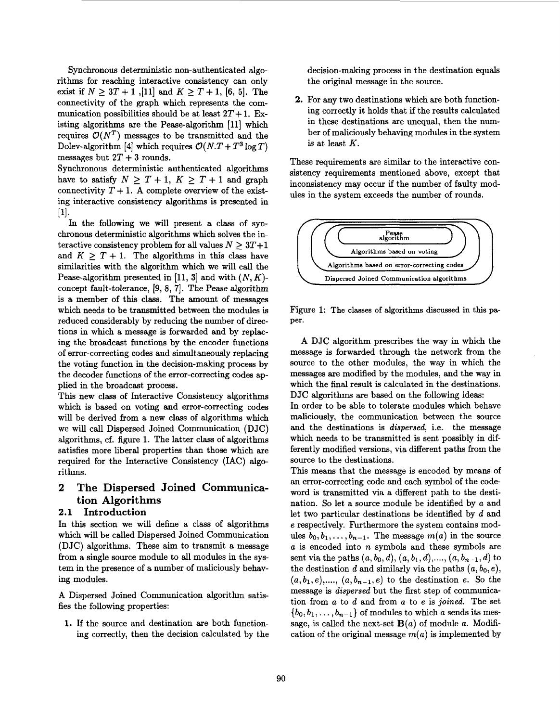Synchronous deterministic non-authenticated algorithms for reaching interactive consistency can only exist if  $N \geq 3T + 1$ , [11] and  $K \geq T + 1$ , [6, 5]. The connectivity of the graph which represents the communication possibilities should be at least  $2T + 1$ . Existing algorithms are the Pease-algorithm **[ll]** which requires  $\mathcal{O}(N^T)$  messages to be transmitted and the Dolev-algorithm [4] which requires  $\mathcal{O}(N \cdot T + T^3 \log T)$ messages but  $2T + 3$  rounds.

Synchronous deterministic authenticated algorithms have to satisfy  $N \geq T + 1$ ,  $K \geq T + 1$  and graph connectivity  $T + 1$ . A complete overview of the existing interactive consistency algorithms is presented in  $[1]$ .

In the following we will present a class of synchronous deterministic algorithms which solves the interactive consistency problem for all values  $N \geq 3T+1$ and  $K \geq T + 1$ . The algorithms in this class have similarities with the algorithm which we will call the Pease-algorithm presented in **[ll, 31** and with *(N, K)*  concept fault-tolerance, **19, 8, 71.** The Pease algorithm is a member of this class. The amount of messages which needs to be transmitted between the modules is reduced considerably by reducing the number of directions in which a message is forwarded and by replacing the broadcast functions by the encoder functions of error-correcting codes and simultaneously replacing the voting function in the decision-making process by the decoder functions of the error-correcting codes applied in the broadcast process.

This new class of Interactive Consistency algorithms which is based on voting and error-correcting codes will be derived from a new class of algorithms which we will call Dispersed Joined Communication (DJC) algorithms, cf. figure **1.** The latter class of algorithms satisfies more liberal properties than those which are required for the Interactive Consistency (IAC) algorithms.

## **2 The Dispersed Joined Communication Algorithms**

### **2.1 Introduction**

In this section we will define a class of algorithms which will be called Dispersed Joined Communication (DJC) algorithms. These aim to transmit a message from a single source module to all modules in the system in the presence of a number of maliciously behaving modules.

A Dispersed Joined Communication algorithm satisfies the following properties:

**1.** If the source and destination are both functioning correctly, then the decision calculated by the

decision-making process in the destination equals the original message in the source.

**2.** For any two destinations which are both functioning correctly it holds that if the results calculated in these destinations are unequal, then the number of maliciously behaving modules in the system is at least *K.* 

These requirements are similar to the interactive consistency requirements mentioned above, except that inconsistency may occur if the number of faulty mod**ules** in the system exceeds the number of rounds.



Figure **1: The classes of algorithms discussed in this paper.** 

A DJC algorithm prescribes the way in which the message is forwarded through the network from the source to the other modules, the way in which the messages are modified by the modules, and the way in which the final result is calculated in the destinations. DJC algorithms are based on the following ideas:

In order to be able to tolerate modules which behave maliciously, the communication between the source and the destinations is *dispersed,* i.e. the message which needs to be transmitted is sent possibly in differently modified versions, via different paths from the source to the destinations.

This means that the message is encoded by means of an error-correcting code and each symbol of the codeword is transmitted via a different path to the destination. So let a source module be identified by *a* and let two particular destinations be identified by *d* and *e* respectively. Furthermore the system contains modules  $b_0, b_1, \ldots, b_{n-1}$ . The message  $m(a)$  in the source *a* is encoded into n symbols and these symbols are sent via the paths  $(a, b_0, d), (a, b_1, d), \ldots, (a, b_{n-1}, d)$  to the destination  $d$  and similarly via the paths  $(a, b_0, e)$ ,  $(a, b_1, e), \ldots, (a, b_{n-1}, e)$  to the destination e. So the message is *dispersed* but the fist step of communication from *a* to *d* and from *a* to *e* is *joined.* The set  ${b_0, b_1, \ldots, b_{n-1}}$  of modules to which *a* sends its message, is called the next-set  $B(a)$  of module  $a$ . Modification of the original message  $m(a)$  is implemented by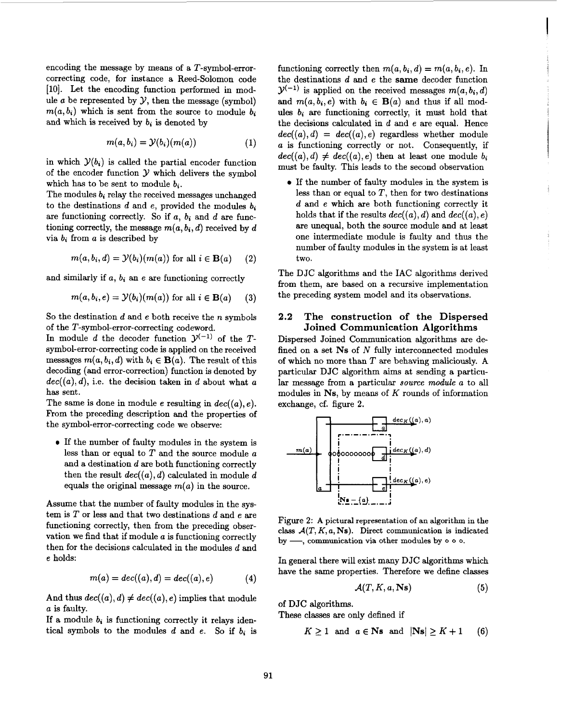encoding the message by means of a T-symbol-errorcorrecting code, for instance a Reed-Solomon code [10]. Let the encoding function performed in module *a* be represented by *Y,* then the message (symbol)  $m(a, b_i)$  which is sent from the source to module *b*. and which is received by *bi* is denoted by

$$
m(a, b_i) = \mathcal{Y}(b_i)(m(a)) \tag{1}
$$

in which  $y(b_i)$  is called the partial encoder function of the encoder function *Y* which delivers the symbol which has to be sent to module *bi.* 

The modules *bi* relay the received messages unchanged to the destinations *d* and *e,* provided the modules *bi*  are functioning correctly. So if *a, bi* and *d* are functioning correctly, the message  $m(a, b_i, d)$  received by  $d$ via  $b_i$  from  $a$  is described by

$$
m(a, b_i, d) = \mathcal{Y}(b_i)(m(a)) \text{ for all } i \in \mathbf{B}(a) \quad (2)
$$

and similarly if *a, bi* an *e* are functioning correctly

$$
m(a, b_i, e) = \mathcal{Y}(b_i)(m(a)) \text{ for all } i \in \mathbf{B}(a) \qquad (3)
$$

*So* the destination *d* and *e* both receive the n symbols of the T-symbol-error-correcting codeword.

In module *d* the decoder function  $\mathcal{Y}^{(-1)}$  of the Tsymbol-error-correcting code is applied on the received messages  $m(a, b_i, d)$  with  $b_i \in B(a)$ . The result of this decoding (and error-correction) function is denoted by  $dec((a), d)$ , i.e. the decision taken in d about what a has sent.

The same is done in module  $e$  resulting in  $dec((a), e)$ . From the preceding description and the properties of the symbol-error-correcting code we observe:

*<sup>0</sup>*If the number of faulty modules in the system is less than or equal to T and the source module *a*  and a destination dare both functioning correctly then the result  $dec((a), d)$  calculated in module  $d$ *equals* the original message *m(a)* in the source.

Assume that the number of faulty modules in the system is T or less and that two destinations *d* and *e* are functioning correctly, then from the preceding observation we find that if module *a* is functioning correctly then for the decisions calculated in the modules *d* and *e* holds:

$$
m(a) = dec((a), d) = dec((a), e)
$$
 (4)

And thus  $dec((a), d) \neq dec((a), e)$  implies that module *a* is faulty.

If a module  $b_i$  is functioning correctly it relays identical symbols to the modules  $d$  and  $e$ . So if  $b_i$  is functioning correctly then  $m(a, b_i, d) = m(a, b_i, e)$ . In the destinations *d* and *e* the **same** decoder function  $\mathcal{Y}^{(-1)}$  is applied on the received messages  $m(a, b_i, d)$ and  $m(a, b_i, e)$  with  $b_i \in B(a)$  and thus if all modules  $b_i$  are functioning correctly, it must hold that the decisions calculated in *d* and *e* are equal. Hence  $dec((a), d) = dec((a), e)$  regardless whether module *a* is functioning correctly or not. Consequently, if  $dec((a), d) \neq dec((a), e)$  then at least one module  $b_i$ must be faulty. This leads to the second observation

• If the number of faulty modules in the system is less than or equal to  $T$ , then for two destinations *d* and *e* which are both functioning correctly it holds that if the results  $dec((a), d)$  and  $dec((a), e)$ are unequal, both the source module and at least one intermediate module is faulty and thus the number of faulty modules in the system is at least two.

The DJC algorithms and the IAC algorithms derived from them, are based on a recursive implementation the preceding system model and its observations.

#### The construction of the Dispersed  $2.2$ **Joined Communication Algorithms**

Dispersed Joined Communication algorithms are defined on a set  $Ns$  of  $N$  fully interconnected modules of which no more than  $T$  are behaving maliciously. A particular DJC algorithm aims at sending a particular message from a particular *source module a* to all modules in  $N_s$ , by means of  $K$  rounds of information exchange, cf. figure 2.



Figure **2: A pictural representation of an algorithm in the**  class  $A(T, K, a, Ns)$ . Direct communication is indicated **by** -, **communication via other modules by o o** *0.* 

In general there will exist many DJC algorithms which have the same properties. Therefore we define classes

$$
\mathcal{A}(T, K, a, \mathbf{Ns}) \tag{5}
$$

of DJC algorithms.

These classes are only defined if

$$
K \ge 1 \quad \text{and} \quad a \in \mathbf{Ns} \quad \text{and} \quad |\mathbf{Ns}| \ge K + 1 \qquad (6)
$$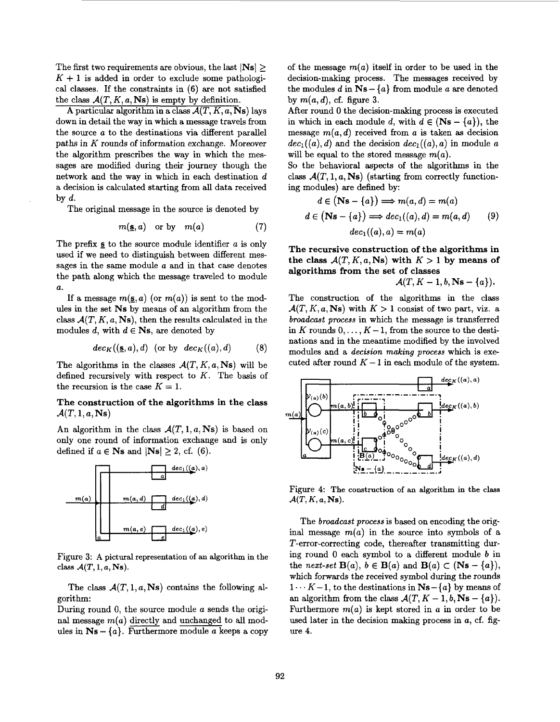The first two requirements are obvious, the last  $|Ns| \ge$  $K + 1$  is added in order to exclude some pathological classes. If the constraints in *(6)* are not satisfied the class  $\mathcal{A}(T, K, a, \mathbf{Ns})$  is empty by definition.

**A** particular algorithm in a class  $\mathcal{A}(T, K, a, \mathbf{Ns})$  lays down in detail the way in which a message travels from the source *a* to the destinations via different parallel paths in *K* rounds of information exchange. Moreover the algorithm prescribes the way in which the messages are modified during their journey though the network and the way in which in each destination *d*  a decision is calculated starting from all data received by *d.* 

The original message in the source is denoted by

$$
m(\underline{\mathbf{s}},a) \quad \text{or by} \quad m(a) \tag{7}
$$

The prefix  $s$  to the source module identifier  $a$  is only used if we need to distinguish between different messages in the same module *a* and in that case denotes the path along which the message traveled to module *U.* 

If a message  $m(\underline{s},a)$  (or  $m(a)$ ) is sent to the modules in the set **Ns** by means of an algorithm from the class  $\mathcal{A}(T, K, a, \mathbf{Ns})$ , then the results calculated in the modules  $d$ , with  $d \in$  **Ns**, are denoted by

$$
dec_K((\underline{\mathbf{s}},a),d) \quad (\text{or by } dec_K((a),d) \qquad (8)
$$

The algorithms in the classes  $\mathcal{A}(T, K, a, \mathbf{Ns})$  will be defined recursively with respect to *K.* The basis of the recursion is the case  $K = 1$ .

**The construction of the algorithms in the class**   $\mathcal{A}(T,1,a,\mathbf{Ns})$ 

An algorithm in the class  $\mathcal{A}(T, 1, a, \mathbf{Ns})$  is based on only one round of information exchange and is only defined if  $a \in \mathbb{N}$ s and  $|\mathbb{N}s| \geq 2$ , cf. (6).



Figure **3: A** pictural representation of an algorithm in the class  $\mathcal{A}(T, 1, a, \mathbf{Ns}).$ 

The class  $\mathcal{A}(T, 1, a, \mathbf{Ns})$  contains the following algorithm:

During round 0, the source module *a* sends the original message *m(a)* directly and unchanged to all modules in **Ns** - *{a}.* Furthermore module *a* keeps a copy of the message  $m(a)$  itself in order to be used in the decision-making process. The messages received by the modules *d* in  $Ns - \{a\}$  from module *a* are denoted by *m(a,d),* cf. figure **3.** 

After round 0 the decision-making process is executed in which in each module *d*, with  $d \in (\mathbf{Ns} - \{a\})$ , the message *m(a,d)* received from *a* is taken **as** decision  $dec_1((a), d)$  and the decision  $dec_1((a), a)$  in module *a* will be equal to the stored message *m(a).* 

So the behavioral aspects of the algorithms in the class  $\mathcal{A}(T, 1, a, \mathbf{Ns})$  (starting from correctly function-

ing modules) are defined by:  
\n
$$
d \in (\mathbf{Ns} - \{a\}) \Longrightarrow m(a, d) = m(a)
$$
\n
$$
d \in (\mathbf{Ns} - \{a\}) \Longrightarrow dec_1((a), d) = m(a, d) \qquad (9)
$$
\n
$$
dec_1((a), a) = m(a)
$$

**The recursive construction of the algorithms in**  the class  $A(T, K, a, Ns)$  with  $K > 1$  by means of algorithms from the set of classes  $\mathcal{A}(T, K-1, b, \mathbf{Ns}-\{a\}).$ 

$$
\mathcal{A}(T,K-1,b,\mathbf{Ns}-\{a\}).
$$

The construction of the algorithms in the class  $\mathcal{A}(T, K, a, \mathbf{Ns})$  with  $K > 1$  consist of two part, viz. a *broadcast process* in which the message is transferred in *K* rounds  $0, \ldots, K-1$ , from the source to the destinations and in the meantime modified by the involved modules and a *decision making process* which is executed after round  $K - 1$  in each module of the system.



Figure **4:** The construction of an algorithm in the class  $\mathcal{A}(T, K, a, \mathbf{Ns}).$ 

The *broadcast process* is based on encoding the **orig**inal message  $m(a)$  in the source into symbols of a T-error-correcting code, thereafter transmitting during round 0 each symbol to a different module *b* in the *next-set*  $\mathbf{B}(a)$ ,  $b \in \mathbf{B}(a)$  and  $\mathbf{B}(a) \subset (\mathbf{Ns} - \{a\})$ , which forwards the received symbol during the rounds  $1 \cdots K-1$ , to the destinations in  $Ns-\lbrace a \rbrace$  by means of an algorithm from the class  $\mathcal{A}(T, K-1, b, \mathbf{Ns}-\{a\}).$ Furthermore  $m(a)$  is kept stored in  $a$  in order to be used later in the decision making process in *a,* cf. figure **4.**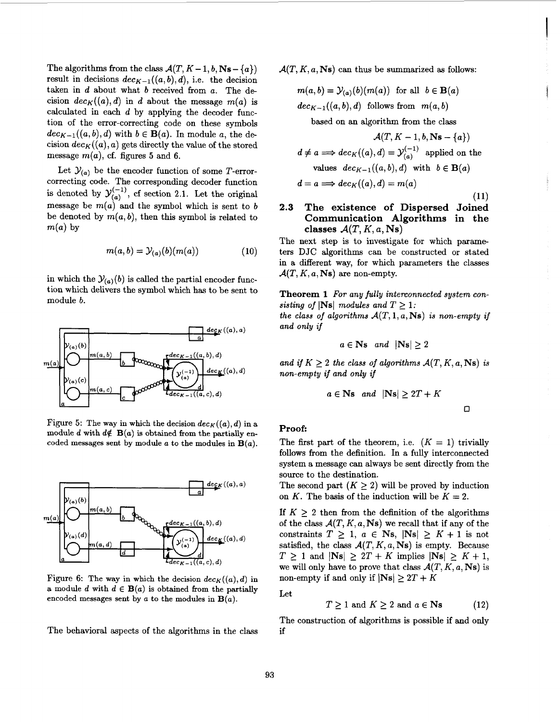The algorithms from the class  $\mathcal{A}(T, K-1, b, \mathbf{Ns}-\{a\})$ result in decisions  $dec_{K-1}((a, b), d)$ , i.e. the decision taken in *d* about what *b* received from a. The decision  $dec_K((a),d)$  in *d* about the message  $m(a)$  is calculated in each *d* by applying the decoder function of the error-correcting code on these symbols  $dec_{K-1}((a,b),d)$  with  $b \in \mathbf{B}(a)$ . In module a, the decision  $dec_K((a), a)$  gets directly the value of the stored message *m(a),* cf. figures **5** and 6.

Let  $\mathcal{Y}_{(a)}$  be the encoder function of some T-errorcorrecting code. The corresponding decoder function is denoted by  $y_{(a)}^{(-1)}$ , cf section 2.1. Let the original message be  $m(a)$  and the symbol which is sent to *b* be denoted by  $m(a, b)$ , then this symbol is related to  $m(a)$  by

$$
m(a,b) = \mathcal{Y}_{(a)}(b)(m(a)) \tag{10}
$$

in which the  $\mathcal{Y}_{(a)}(b)$  is called the partial encoder function which delivers the symbol which has to be sent to module *b.* 



Figure 5: The way in which the decision  $dec_K((a),d)$  in a module *d* with  $d \notin B(a)$  is obtained from the partially encoded messages sent by module  $a$  to the modules in  $B(a)$ .



Figure 6: The way in which the decision  $dec_K((a), d)$  in **a** module *d* with  $d \in \mathbf{B}(a)$  is obtained from the partially encoded messages sent by  $a$  to the modules in  $B(a)$ .

The behavioral aspects of the algorithms in the class

 $\mathcal{A}(T, K, a, \mathbf{Ns})$  can thus be summarized as follows:

$$
m(a, b) = \mathcal{Y}_{(a)}(b)(m(a)) \text{ for all } b \in \mathbf{B}(a)
$$
  

$$
dec_{K-1}((a, b), d) \text{ follows from } m(a, b)
$$
  
based on an algorithm from the class  

$$
\mathcal{A}(T, K-1, b, \mathbf{Ns} - \{a\})
$$

$$
d \neq a \Longrightarrow dec_K((a), d) = \mathcal{Y}_{(a)}^{(-1)}
$$
 applied on the values  $dec_{K-1}((a, b), d)$  with  $b \in \mathbf{B}(a)$   

$$
d = a \Longrightarrow dec_K((a), d) = m(a)
$$
 (11)

2.3 The existence of Dispersed Joined Communication Algorithms in the classes 
$$
\mathcal{A}(T, K, a, \mathbf{Ns})
$$

The next step is to investigate for which parameters DJC algorithms can be constructed or stated in a different way, for which parameters the classes  $\mathcal{A}(T, K, a, \mathbf{Ns})$  are non-empty.

**Theorem 1** *For any fully interconnected system consisting of*  $|Ns|$  *modules and*  $T > 1$ :

*the class of algorithms*  $A(T, 1, a, Ns)$  *is non-empty if and only if* 

$$
a \in \mathbf{Ns} \quad and \quad |\mathbf{Ns}| \ge 2
$$

and if  $K > 2$  the class of algorithms  $\mathcal{A}(T, K, a, \mathbf{Ns})$  is *non-empty if and only if* 

$$
a \in \mathbf{Ns} \quad and \quad |\mathbf{Ns}| \ge 2T + K
$$

*0* 

**Proof:** 

The first part of the theorem, i.e.  $(K = 1)$  trivially follows from the definition. In a fully interconnected system a message can always be sent directly from the source to the destination.

The second part  $(K \geq 2)$  will be proved by induction on K. The basis of the induction will be  $K = 2$ .

If  $K > 2$  then from the definition of the algorithms of the class  $\mathcal{A}(T, K, a, \mathbf{Ns})$  we recall that if any of the constraints  $T \geq 1$ ,  $a \in \mathbb{N}$ s,  $|\mathbb{N}$ s $| \geq K + 1$  is not satisfied, the class  $\mathcal{A}(T, K, a, \mathbf{Ns})$  is empty. Because  $T \geq 1$  and  $|\mathbf{Ns}| \geq 2T + K$  implies  $|\mathbf{Ns}| \geq K + 1$ , we will only have to prove that class  $\mathcal{A}(T, K, a, \mathbf{Ns})$  is non-empty if and only if  $|Ns| > 2T + K$ 

Let

$$
T \ge 1 \text{ and } K \ge 2 \text{ and } a \in \mathbf{Ns} \tag{12}
$$

The construction of algorithms is possible if **and** only if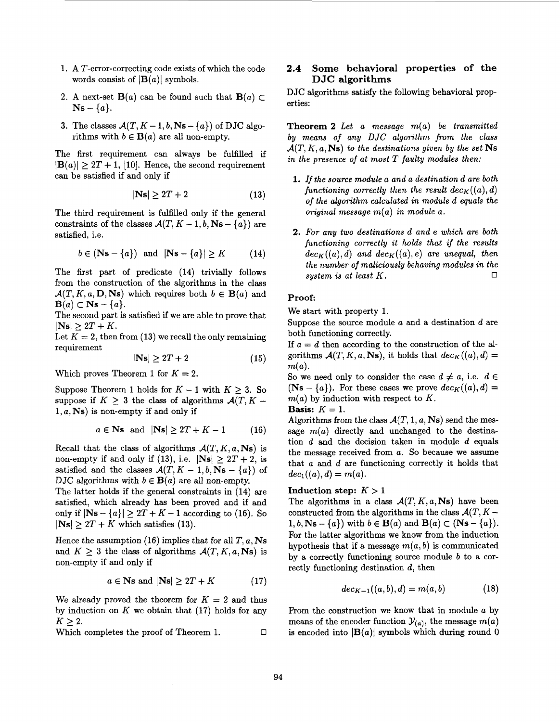- **1. A** T-error-correcting code exists of which the code words consist of  $|\mathbf{B}(a)|$  symbols.
- 2. A next-set **B**(a) can be found such that **B**(a)  $\subset$  $Ns - \{a\}.$
- **3.** The classes  $\mathcal{A}(T, K-1, b, \mathbf{Ns} \{a\})$  of DJC algorithms with  $b \in \mathbf{B}(a)$  are all non-empty.

The first requirement can always be fulfilled if  $|\mathbf{B}(a)| \geq 2T + 1$ , [10]. Hence, the second requirement can be satisfied if and only if

$$
|\mathbf{Ns}| \ge 2T + 2\tag{13}
$$

The third requirement is fulfilled only if the general constraints of the classes  $\mathcal{A}(T, K-1, b, \mathbf{Ns} - \{a\})$  are satisfied, i.e.

$$
b \in (\mathbf{Ns} - \{a\})
$$
 and  $|\mathbf{Ns} - \{a\}| \ge K$  (14)

The first part of predicate **(14)** trivially follows from the construction of the algorithms in the class  $\mathcal{A}(T, K, a, \mathbf{D}, \mathbf{Ns})$  which requires both  $b \in \mathbf{B}(a)$  and  $B(a) \subset$  **Ns** -  $\{a\}.$ 

The second part is satisfied if we are able to prove that  $|Ns| \geq 2T + K$ .

Let  $K = 2$ , then from (13) we recall the only remaining requirement

$$
|\mathbf{Ns}| \ge 2T + 2 \tag{15}
$$

Which proves Theorem 1 for  $K = 2$ .

Suppose Theorem 1 holds for  $K - 1$  with  $K \geq 3$ . So suppose if  $K \geq 3$  the class of algorithms  $\mathcal{A}(T, K -$ *1, a, Ns)* is non-empty if and only if

$$
a \in \mathbf{Ns} \text{ and } |\mathbf{Ns}| \ge 2T + K - 1 \qquad (16)
$$

Recall that the class of algorithms  $\mathcal{A}(T, K, a, \mathbf{Ns})$  is non-empty if and only if (13), i.e.  $|\mathbf{Ns}| \geq 2T + 2$ , is satisfied and the classes  $\mathcal{A}(T, K-1, b, \mathbf{Ns} - \{a\})$  of DJC algorithms with  $b \in \mathbf{B}(a)$  are all non-empty.

The latter holds if the general constraints in **(14)** are satisfied, which already has been proved and if and only if  $|\mathbf{Ns} - \{a\}| \geq 2T + K - 1$  according to (16). So  $|Ns| \geq 2T + K$  which satisfies (13).

Hence the assumption  $(16)$  implies that for all  $T, a, Ns$ and  $K \geq 3$  the class of algorithms  $\mathcal{A}(T, K, a, \mathbf{Ns})$  is non-empty if and only if

$$
a \in \mathbf{Ns} \text{ and } |\mathbf{Ns}| \ge 2T + K \tag{17}
$$

We already proved the theorem for  $K = 2$  and thus by induction on *K* we obtain that **(17)** holds for any  $K \geq 2$ .

Which completes the proof of Theorem **1.** *0* 

### **2.4 Some behavioral properties of the DJC algorithms**

**DJC** algorithms satisfy the following behavioral properties:

**Theorem 2** *Let a message m(a) be transmitted by means of any DJC algorithm from the class*   $\mathcal{A}(T, K, a, \mathbf{Ns})$  to the destinations given by the set Ns *in the presence of at most T faulty modules then:* 

- **1.** *If the source module a and a destination d are both functioning correctly then the result*  $dec_K((a), d)$ *of the algorithm calculated in module d equals the original message m(a) in module a.*
- **2.** *For any two destinations d and e which are both functioning correctly it holds that if the results*   $dec_K((a), d)$  and  $dec_K((a), e)$  are unequal, then *the number* of *maliciously behaving modules in the system is at least K. 0*

#### **Proof:**

We start with property **1.** 

Suppose the source module *a* and a destination d are both functioning correctly.

If  $a = d$  then according to the construction of the algorithms  $\mathcal{A}(T, K, a, \mathbf{Ns})$ , it holds that  $dec_K((a), d) =$  $m(a)$ .

So we need only to consider the case  $d \neq a$ , i.e.  $d \in$  $(Ns - {a})$ . For these cases we prove  $dec_K((a), d) =$  $m(a)$  by induction with respect to  $K$ .

**Basis:**  $K = 1$ .

Algorithms from the class  $\mathcal{A}(T, 1, a, \mathbf{Ns})$  send the message *m(a)* directly and unchanged to the destination *d* and the decision taken in module *d* equals the message received from *a.* So because we assume that *a* and *d* are functioning correctly it holds that  $dec_1((a), d) = m(a).$ 

#### Induction step:  $K > 1$

The algorithms in a class  $\mathcal{A}(T, K, a, \mathbf{Ns})$  have been constructed from the algorithms in the class  $\mathcal{A}(T, K -$ 1, *b*,  $N_s - \{a\}$  with  $b \in B(a)$  and  $B(a) \subset (Ns - \{a\})$ . For the latter algorithms we know from the induction hypothesis that if a message  $m(a, b)$  is communicated by a correctly functioning source module *b* to a correctly functioning destination *d,* then

$$
dec_{K-1}((a, b), d) = m(a, b)
$$
 (18)

From the construction we know that in module *a* by means of the encoder function  $\mathcal{Y}_{(a)}$ , the message  $m(a)$ is encoded into  $|\mathbf{B}(a)|$  symbols which during round 0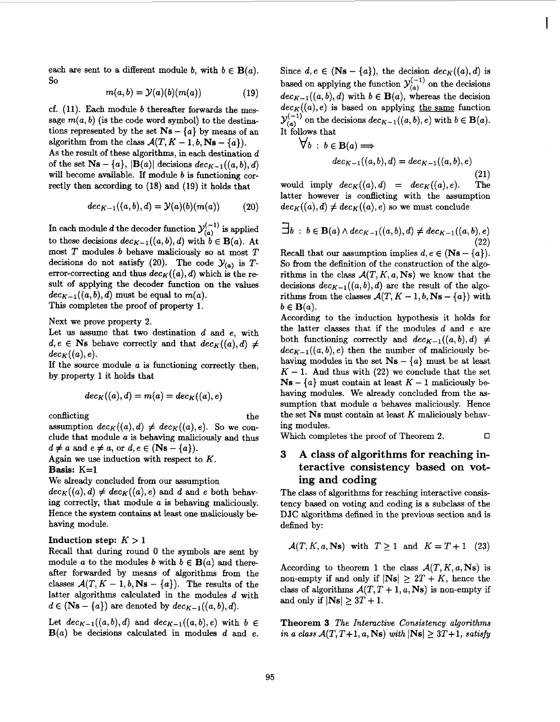each are sent to a different module *b*, with  $b \in B(a)$ . so

 $m(a,b) = \mathcal{Y}(a)(b)(m(a))$  (19)

cf. **(11).** Each module *b* thereafter forwards the message  $m(a, b)$  (is the code word symbol) to the destinations represented by the set  $Ns - \{a\}$  by means of an algorithm from the class  $\mathcal{A}(T, K-1, b, \mathbf{Ns} - \{a\})$ .

As the result of these algorithms, in each destination *d*  of the set  $Ns - \{a\}$ ,  $|\mathbf{B}(a)|$  decisions  $dec_{K-1}((a, b), d)$ will become available. If module *b* is functioning correctly then according to (18) and (19) it holds that

$$
dec_{K-1}((a,b),d) = \mathcal{Y}(a)(b)(m(a))
$$
 (20)

In each module d the decoder function  $\mathcal{Y}_{(a)}^{(-1)}$  is applied to these decisions  $dec_{K-1}((a, b), d)$  with  $b \in B(a)$ . At most *T* modules *b* behave maliciously *so* at most **T**  decisions do not satisfy (20). The code  $\mathcal{Y}_{(a)}$  is *T*error-correcting and thus  $dec_K((a), d)$  which is the result of applying the decoder function on the values  $dec_{K-1}((a, b), d)$  must be equal to  $m(a)$ .

**This** completes the proof of property **1.** 

Next we prove property **2.** 

Let us assume that two destination  $d$  and  $e$ , with  $d, e \in \mathbb{N}$ s behave correctly and that  $dec_K((a), d) \neq$  $dec_K((a), e).$ 

If the source module *a* is functioning correctly then, by property **1** it holds that

$$
dec_K((a),d)=m(a)=dec_K((a),e)
$$

conflicting the state of the state  $\mathbf{r}$ 

assumption  $dec_K((a), d) \neq dec_K((a), e)$ . So we conclude that module *a* is behaving maliciously and thus  $d \neq a$  and  $e \neq a$ , or  $d, e \in (\mathbb{N}s - \{a\})$ .

Again we use induction with respect to *K.* 

#### **Basis:** K=l

We already concluded from our assumption  $dec_K((a),d) \neq dec_K((a),e)$  and d and e both behaving correctly, that module *a* is behaving maliciously. Hence the system contains at least one maliciously behaving module.

#### **Induction step:**  $K > 1$

Recall that during round 0 the symbols are sent by module *a* to the modules *b* with  $b \in B(a)$  and thereafter forwarded by means of algorithms from the classes  $\mathcal{A}(T, K-1, b, \mathbf{Ns} - \{a\})$ . The results of the latter algorithms calculated in the modules *d* with  $d \in (\mathbf{Ns} - \{a\})$  are denoted by  $dec_{K-1}((a, b), d)$ .

Let  $dec_{K-1}((a,b),d)$  and  $dec_{K-1}((a,b),e)$  with  $b \in$ **B(a)** be decisions calculated in modules d and e.

Since  $d, e \in (\mathbf{Ns} - \{a\})$ , the decision  $dec_K((a), d)$  is based on applying the function  $y_{(a)}^{(-1)}$  on the decisions  $dec_{K-1}((a, b), d)$  with  $b \in B(a)$ , whereas the decision  $dec_K((a), e)$  is based on applying the same function  $\mathcal{Y}_{(a)}^{(-1)}$  on the decisions  $dec_{K-1}((a, b), e)$  with  $b \in \mathbf{B}(a)$ . It follows that

$$
\forall b : b \in \mathbf{B}(a) \Longrightarrow
$$
  
\n
$$
dec_{K-1}((a, b), d) = dec_{K-1}((a, b), e)
$$
\n(21)

**(21)**  would imply  $dec_K((a), d) = dec_K((a), e)$ . latter however is conflicting with the assumption  $dec_K((a), d) \neq dec_K((a), e)$  so we must conclude

$$
\exists b : b \in \mathbf{B}(a) \land dec_{K-1}((a,b),d) \neq dec_{K-1}((a,b),e)
$$
\n(22)

Recall that our assumption implies  $d, e \in (\mathbf{Ns} - \{a\})$ . So from the definition of the construction of the alge rithms in the class  $\mathcal{A}(T, K, a, \mathbf{Ns})$  we know that the decisions  $dec_{K-1}((a,b),d)$  are the result of the algorithms from the classes  $\mathcal{A}(T, K-1, b, \mathbf{Ns}-\{a\})$  with  $b \in B(a)$ .

According to the induction hypothesis it holds for the latter classes that if the modules *d* and e are both functioning correctly and  $dec_{K-1}((a, b), d) \neq$  $dec_{K-1}((a, b), e)$  then the number of maliciously behaving modules in the set  $Ns - \{a\}$  must be at least  $K - 1$ . And thus with (22) we conclude that the set  $Ns - {a}$  must contain at least  $K - 1$  maliciously behaving modules. We already concluded from the **as**sumption that module *a* behaves maliciously. Hence the set **Ns** must contain at least *K* maliciously behaving modules.

Which completes the proof of Theorem **2.** 

*0* 

## **3 A class of algorithms for reaching interactive consistency based on voting and coding**

The class of algorithms for reaching interactive consistency based on voting and coding is a subclass of the DJC algorithms defined in the previous section and is defined by:

$$
\mathcal{A}(T, K, a, \mathbf{Ns}) \text{ with } T \ge 1 \text{ and } K = T + 1 \quad (23)
$$

According to theorem 1 the class  $\mathcal{A}(T, K, a, \mathbf{Ns})$  is non-empty if and only if  $|\mathbf{Ns}| \geq 2T + K$ , hence the class of algorithms  $\mathcal{A}(T, T + 1, a, \mathbf{Ns})$  is non-empty if and only if  $|\mathbf{Ns}| \geq 3T + 1$ .

**Theorem 3** The Interactive Consistency *algorithms in a class*  $\mathcal{A}(T, T+1, a, \mathbf{Ns})$  *with*  $|\mathbf{Ns}| \geq 3T+1$ , *satisfy*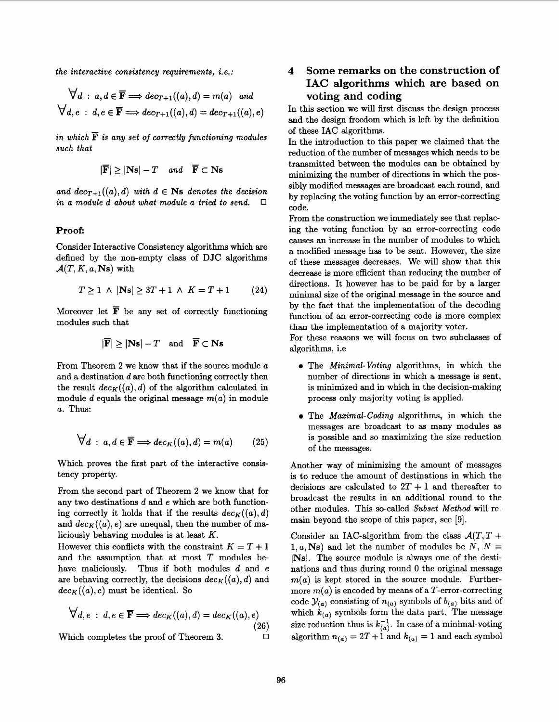*the interactive consistency requirements, i.e.:* 

$$
\forall d : a, d \in \overline{\mathbf{F}} \Longrightarrow dec_{T+1}((a), d) = m(a) \text{ and}
$$

$$
\forall d, e : d, e \in \overline{\mathbf{F}} \Longrightarrow dec_{T+1}((a), d) = dec_{T+1}((a), e)
$$

in which  $\overline{F}$  is any set of correctly functioning modules *such that* 

$$
|\mathbf{F}| \geq |\mathbf{Ns}| - T
$$
 and  $\mathbf{F} \subset \mathbf{Ns}$ 

and  $dec_{T+1}((a), d)$  with  $d \in \mathbb{N}$ s denotes the decision *in a module d about what module a tried to send.*  $\Box$ 

#### **Proof:**

Consider Interactive Consistency algorithms which are defined by the non-empty class of DJC algorithms  $\mathcal{A}(T, K, a, \mathbf{Ns})$  with

$$
T \ge 1 \ \land \ |\mathbf{Ns}| \ge 3T + 1 \ \land \ K = T + 1 \tag{24}
$$

Moreover let  $\overline{F}$  be any set of correctly functioning modules such that

$$
|\overline{F}| \geq |\mathbf{Ns}| - T
$$
 and  $\overline{F} \subset \mathbf{Ns}$ 

From Theorem 2 we know that if the source module *a*  and a destination dare both functioning correctly then the result  $dec_K((a),d)$  of the algorithm calculated in module *d* equals the original message *m(a)* in module *a.* Thus:

$$
\forall d : a, d \in \overline{\mathbf{F}} \Longrightarrow dec_K((a), d) = m(a) \qquad (25)
$$

Which proves the first part of the interactive consistency property.

From the second part of Theorem 2 we know that for any two destinations *d* and *e* which are both functioning correctly it holds that if the results  $dec_K((a),d)$ and  $dec_K((a), e)$  are unequal, then the number of maliciously behaving modules is at least *K.* 

However this conflicts with the constraint  $K = T + 1$ and the assumption that at most *T* modules behave maliciously. Thus if both modules *d* and *e*  are behaving correctly, the decisions  $dec_K((a), d)$  and  $dec_K((a), e)$  must be identical. So

$$
\forall d, e : d, e \in \overline{\mathbf{F}} \Longrightarrow dec_K((a), d) = dec_K((a), e)
$$
\n(26)

Which completes the proof of Theorem **3.** *0* 

## **4 Some remarks on the construction of IAC algorithms which are based on voting and coding**

In this section we will first discuss the design process and the design freedom which is left by the definition of these IAC algorithms.

In the introduction to this paper we claimed that the reduction of the number of messages which needs to be transmitted between the modules can be obtained by minimizing the number **of** directions in which the possibly modified messages are broadcast each round, and by replacing the voting function by an error-correcting code.

From the construction we immediately see that replacing the voting function by an error-correcting code causes an increase in the number of modules to which a modified message has to be sent. However, the size of these messages decreases. We will show that this decrease is more efficient than reducing the number of directions. It however has to be paid for by a larger minimal size of the original message in the source and by the fact that the implementation of the decoding function of an error-correcting code is more complex than the implementation of a majority voter.

For these reasons we will focus on two subclasses of algorithms, i.e

- The *Minimal-Voting* algorithms, in which the number **of** directions in which a message is sent, is minimized and in which in the decision-making process only majority voting is applied.
- $\bullet$  The *Maximal-Coding* algorithms, in which the messages are broadcast to as many modules **as**  is possible and so maximizing the size reduction of the messages.

Another way of minimizing the amount of messages is to reduce the amount of destinations in which the decisions are calculated to  $2T + 1$  and thereafter to broadcast the results in an additional round to the other modules. This so-called *Subset Method* will remain beyond the scope of this paper, see [9].

Consider an IAC-algorithm from the class  $\mathcal{A}(T, T +$ 1, a, Ns) and let the number of modules be  $N, N =$ **INS(.** The source module is always one of the destinations and thus during round 0 the original message  $m(a)$  is kept stored in the source module. Furthermore  $m(a)$  is encoded by means of a T-error-correcting code  $\mathcal{Y}_{(a)}$  consisting of  $n_{(a)}$  symbols of  $b_{(a)}$  bits and of which  $k_{(a)}$  symbols form the data part. The message size reduction thus is  $k_{(a)}^{-1}$ . In case of a minimal-voting algorithm  $n_{(a)} = 2T + 1$  and  $k_{(a)} = 1$  and each symbol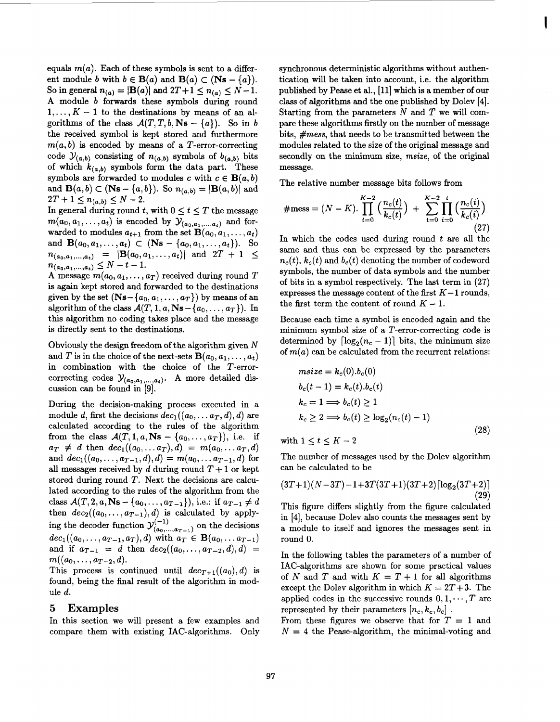equals  $m(a)$ . Each of these symbols is sent to a different module *b* with  $b \in B(a)$  and  $B(a) \subset (Ns - \{a\})$ . So in general  $n_{(a)} = |B(a)|$  and  $2T + 1 \le n_{(a)} \le N - 1$ . A module *b* forwards these symbols during round  $1, \ldots, K-1$  to the destinations by means of an algorithms of the class  $\mathcal{A}(T, T, b, \mathbf{Ns} - \{a\})$ . So in *b* the received symbol is kept stored and furthermore  $m(a, b)$  is encoded by means of a T-error-correcting code  $\mathcal{Y}_{(a,b)}$  consisting of  $n_{(a,b)}$  symbols of  $b_{(a,b)}$  bits of which  $k_{(a,b)}$  symbols form the data part. These symbols are forwarded to modules c with  $c \in B(a, b)$ and  $B(a, b) \subset (Ns - \{a, b\})$ . So  $n_{(a, b)} = |B(a, b)|$  and  $2T + 1 \leq n_{(a,b)} \leq N - 2.$ 

In general during round *t*, with  $0 \le t \le T$  the message  $m(a_0, a_1, \ldots, a_t)$  is encoded by  $\mathcal{Y}_{(a_0, a_1, \ldots, a_t)}$  and forwarded to modules  $a_{t+1}$  from the set  $B(a_0, a_1, \ldots, a_t)$ and  $B(a_0, a_1, \ldots, a_t) \subset (Ns - \{a_0, a_1, \ldots, a_t\}).$  So  $n_{(a_0, a_1, \ldots, a_t)} = |\mathbf{B}(a_0, a_1, \ldots, a_t)|$  and  $2T + 1 \leq$  $n_{(a_0, a_1, \ldots, a_t)} \leq N - t - 1.$ 

A message  $m(a_0, a_1, \ldots, a_T)$  received during round T is again kept stored and forwarded to the destinations given by the set  $(Ns-\{a_0, a_1, \ldots, a_T\})$  by means of an algorithm of the class  $\mathcal{A}(T, 1, a, \mathbf{Ns}-\{a_0, \ldots, a_T\})$ . In this algorithm no coding takes place and the message is directly sent to the destinations.

Obviously the design freedom of the algorithm given *N*  and T is in the choice of the next-sets  $B(a_0, a_1, \ldots, a_t)$ in combination with the choice of the T-errorcorrecting codes  $\mathcal{Y}_{(a_0,a_1,...,a_t)}$ . A more detailed discussion can be found in [9].

During the decision-making process executed in a module *d*, first the decisions  $dec_1((a_0, \ldots, a_T, d), d)$  are calculated according to the rules of the algorithm from the class  $\mathcal{A}(T,1,a,\mathbf{Ns}-\{a_0,\ldots,a_T\})$ , i.e. if  $a_T \neq d$  then  $dec_1((a_0, \ldots a_T), d) = m(a_0, \ldots a_T, d)$ and  $dec_1((a_0, \ldots, a_{T-1}, d), d) = m(a_0, \ldots, a_{T-1}, d)$  for all messages received by d during round  $T + 1$  or kept stored during round  $T$ . Next the decisions are calculated according to the rules of the algorithm from the class  $\mathcal{A}(T,2,a,\mathbf{Ns}-\{a_0,\ldots,a_{T-1}\})$ , i.e.: if  $a_{T-1}\neq d$ then  $dec_2((a_0, \ldots, a_{T-1}), d)$  is calculated by applythen  $\text{dec}_2(\mu_0, \ldots, \mu_{r-1}, \ldots)$ <br>ing the decoder function  $\mathcal{Y}^{(-1)}_{(a_0, \ldots, a_{T-1})}$  on the decisions  $dec_1((a_0, \ldots, a_{T-1}, a_T), d)$  with  $a_T \in B(a_0, \ldots, a_{T-1})$ and if  $a_{T-1} = d$  then  $dec_2((a_0, \ldots, a_{T-2}, d), d)$  $m((a_0, \ldots, a_{T-2}, d)).$ 

This process is continued until  $dec_{T+1}((a_0), d)$  is found, being the final result of the algorithm in module *d.* 

#### *5* **Examples**

In this section we will present a few examples and compare them with existing IAC-algorithms. Only synchronous deterministic algorithms without authentication will be taken into account, i.e. the algorithm published by Pease et al., [11] which is a member of our class of algorithms and the one published by Dolev **[4].**  Starting from the parameters *N* and T we will compare these algorithms firstly on the number of message bits, #mess, that needs to be transmitted between the modules related to the size of the original message and secondly on the minimum size, msize, of the original message.

The relative number message bits follows from

$$
\#\text{mess} = (N - K). \prod_{t=0}^{K-2} \left( \frac{n_c(t)}{k_c(t)} \right) + \sum_{t=0}^{K-2} \prod_{i=0}^{t} \left( \frac{n_c(i)}{k_c(i)} \right)
$$
\n(27)

In which the codes used during round  $t$  are all the same **and** thus can be expressed by the parameters  $n_c(t)$ ,  $k_c(t)$  and  $b_c(t)$  denoting the number of codeword symbols, the number of data symbols and the number of bits in a symbol respectively. The last term in **(27)**  expresses the message content of the first  $K-1$  rounds, the first term the content of round  $K - 1$ .

Because each time a symbol is encoded again and the minimum symbol size of a T-error-correcting code is determined by  $\lceil \log_2(n_c - 1) \rceil$  bits, the minimum size of  $m(a)$  can be calculated from the recurrent relations:

$$
msize = k_c(0).b_c(0)
$$
  
\n
$$
b_c(t-1) = k_c(t).b_c(t)
$$
  
\n
$$
k_c = 1 \Longrightarrow b_c(t) \ge 1
$$
  
\n
$$
k_c \ge 2 \Longrightarrow b_c(t) \ge \log_2(n_c(t) - 1)
$$
\n(28)

with  $1 \le t \le K - 2$ 

The number of messages used by the Dolev algorithm can be calculated to be

$$
(3T+1)(N-3T)-1+3T(3T+1)(3T+2)\lceil \log_2(3T+2) \rceil \tag{29}
$$

This figure differs slightly from the figure calculated in **[4],** because Dolev also counts the messages sent by a module to itself and ignores the messages sent in round 0.

In the following tables the parameters of a number of IAC-algorithms are shown for some practical values of *N* and *T* and with  $K = T + 1$  for all algorithms except the Dolev algorithm in which  $K = 2T + 3$ . The applied codes in the successive rounds  $0, 1, \dots, T$  are represented by their parameters  $[n_c, k_c, b_c]$ .

From these figures we observe that for  $T = 1$  and  $N = 4$  the Pease-algorithm, the minimal-voting and